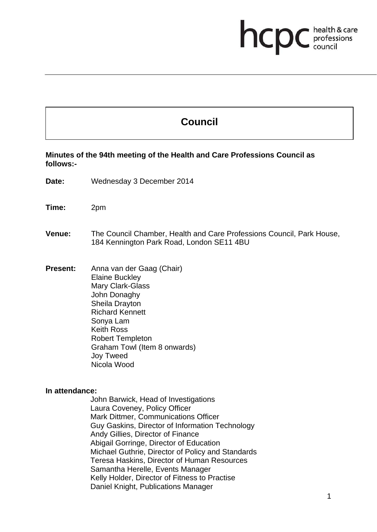# **health & care**

# **Council**

**Minutes of the 94th meeting of the Health and Care Professions Council as follows:-** 

**Date:** Wednesday 3 December 2014

**Time:** 2pm

**Venue:** The Council Chamber, Health and Care Professions Council, Park House, 184 Kennington Park Road, London SE11 4BU

**Present:** Anna van der Gaag (Chair) Elaine Buckley Mary Clark-Glass John Donaghy Sheila Drayton Richard Kennett Sonya Lam Keith Ross Robert Templeton Graham Towl (Item 8 onwards) Joy Tweed Nicola Wood

**In attendance:** 

John Barwick, Head of Investigations Laura Coveney, Policy Officer Mark Dittmer, Communications Officer Guy Gaskins, Director of Information Technology Andy Gillies, Director of Finance Abigail Gorringe, Director of Education Michael Guthrie, Director of Policy and Standards Teresa Haskins, Director of Human Resources Samantha Herelle, Events Manager Kelly Holder, Director of Fitness to Practise Daniel Knight, Publications Manager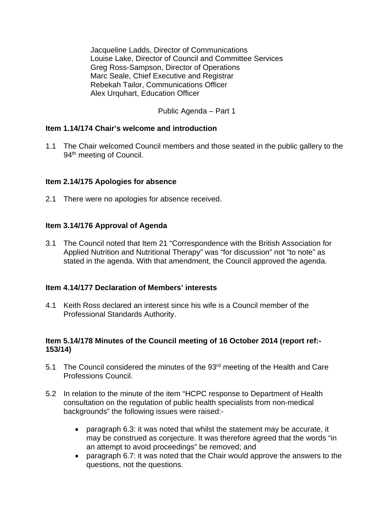Jacqueline Ladds, Director of Communications Louise Lake, Director of Council and Committee Services Greg Ross-Sampson, Director of Operations Marc Seale, Chief Executive and Registrar Rebekah Tailor, Communications Officer Alex Urquhart, Education Officer

Public Agenda – Part 1

#### **Item 1.14/174 Chair's welcome and introduction**

1.1 The Chair welcomed Council members and those seated in the public gallery to the 94<sup>th</sup> meeting of Council.

#### **Item 2.14/175 Apologies for absence**

2.1 There were no apologies for absence received.

#### **Item 3.14/176 Approval of Agenda**

3.1 The Council noted that Item 21 "Correspondence with the British Association for Applied Nutrition and Nutritional Therapy" was "for discussion" not "to note" as stated in the agenda. With that amendment, the Council approved the agenda.

#### **Item 4.14/177 Declaration of Members' interests**

4.1 Keith Ross declared an interest since his wife is a Council member of the Professional Standards Authority.

#### **Item 5.14/178 Minutes of the Council meeting of 16 October 2014 (report ref:- 153/14)**

- 5.1 The Council considered the minutes of the 93<sup>rd</sup> meeting of the Health and Care Professions Council.
- 5.2 In relation to the minute of the item "HCPC response to Department of Health consultation on the regulation of public health specialists from non-medical backgrounds" the following issues were raised:
	- paragraph 6.3: it was noted that whilst the statement may be accurate, it may be construed as conjecture. It was therefore agreed that the words "in an attempt to avoid proceedings" be removed; and
	- paragraph 6.7: it was noted that the Chair would approve the answers to the questions, not the questions.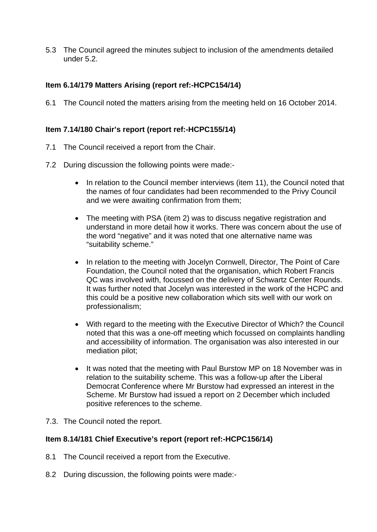5.3 The Council agreed the minutes subject to inclusion of the amendments detailed under 5.2.

# **Item 6.14/179 Matters Arising (report ref:-HCPC154/14)**

6.1 The Council noted the matters arising from the meeting held on 16 October 2014.

# **Item 7.14/180 Chair's report (report ref:-HCPC155/14)**

- 7.1 The Council received a report from the Chair.
- 7.2 During discussion the following points were made:-
	- In relation to the Council member interviews (item 11), the Council noted that the names of four candidates had been recommended to the Privy Council and we were awaiting confirmation from them;
	- The meeting with PSA (item 2) was to discuss negative registration and understand in more detail how it works. There was concern about the use of the word "negative" and it was noted that one alternative name was "suitability scheme."
	- In relation to the meeting with Jocelyn Cornwell, Director, The Point of Care Foundation, the Council noted that the organisation, which Robert Francis QC was involved with, focussed on the delivery of Schwartz Center Rounds. It was further noted that Jocelyn was interested in the work of the HCPC and this could be a positive new collaboration which sits well with our work on professionalism;
	- With regard to the meeting with the Executive Director of Which? the Council noted that this was a one-off meeting which focussed on complaints handling and accessibility of information. The organisation was also interested in our mediation pilot;
	- It was noted that the meeting with Paul Burstow MP on 18 November was in relation to the suitability scheme. This was a follow-up after the Liberal Democrat Conference where Mr Burstow had expressed an interest in the Scheme. Mr Burstow had issued a report on 2 December which included positive references to the scheme.
- 7.3. The Council noted the report.

#### **Item 8.14/181 Chief Executive's report (report ref:-HCPC156/14)**

- 8.1 The Council received a report from the Executive.
- 8.2 During discussion, the following points were made:-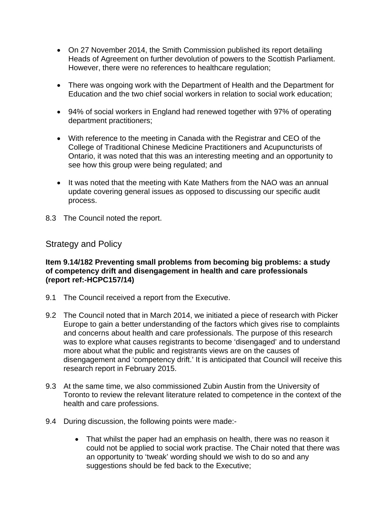- On 27 November 2014, the Smith Commission published its report detailing Heads of Agreement on further devolution of powers to the Scottish Parliament. However, there were no references to healthcare regulation;
- There was ongoing work with the Department of Health and the Department for Education and the two chief social workers in relation to social work education;
- 94% of social workers in England had renewed together with 97% of operating department practitioners;
- With reference to the meeting in Canada with the Registrar and CEO of the College of Traditional Chinese Medicine Practitioners and Acupuncturists of Ontario, it was noted that this was an interesting meeting and an opportunity to see how this group were being regulated; and
- It was noted that the meeting with Kate Mathers from the NAO was an annual update covering general issues as opposed to discussing our specific audit process.
- 8.3 The Council noted the report.

Strategy and Policy

#### **Item 9.14/182 Preventing small problems from becoming big problems: a study of competency drift and disengagement in health and care professionals (report ref:-HCPC157/14)**

- 9.1 The Council received a report from the Executive.
- 9.2 The Council noted that in March 2014, we initiated a piece of research with Picker Europe to gain a better understanding of the factors which gives rise to complaints and concerns about health and care professionals. The purpose of this research was to explore what causes registrants to become 'disengaged' and to understand more about what the public and registrants views are on the causes of disengagement and 'competency drift.' It is anticipated that Council will receive this research report in February 2015.
- 9.3 At the same time, we also commissioned Zubin Austin from the University of Toronto to review the relevant literature related to competence in the context of the health and care professions.
- 9.4 During discussion, the following points were made:-
	- That whilst the paper had an emphasis on health, there was no reason it could not be applied to social work practise. The Chair noted that there was an opportunity to 'tweak' wording should we wish to do so and any suggestions should be fed back to the Executive;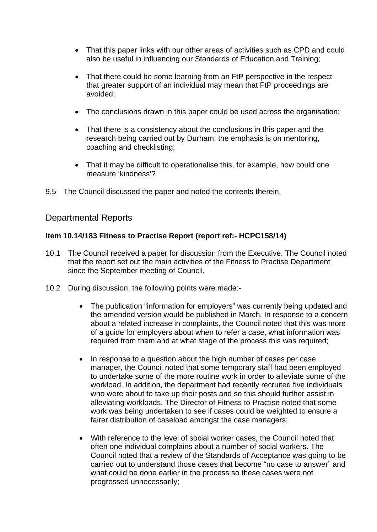- That this paper links with our other areas of activities such as CPD and could also be useful in influencing our Standards of Education and Training;
- That there could be some learning from an FtP perspective in the respect that greater support of an individual may mean that FtP proceedings are avoided;
- The conclusions drawn in this paper could be used across the organisation;
- That there is a consistency about the conclusions in this paper and the research being carried out by Durham: the emphasis is on mentoring, coaching and checklisting;
- That it may be difficult to operationalise this, for example, how could one measure 'kindness'?
- 9.5 The Council discussed the paper and noted the contents therein.

# Departmental Reports

## **Item 10.14/183 Fitness to Practise Report (report ref:- HCPC158/14)**

- 10.1 The Council received a paper for discussion from the Executive. The Council noted that the report set out the main activities of the Fitness to Practise Department since the September meeting of Council.
- 10.2 During discussion, the following points were made:-
	- The publication "information for employers" was currently being updated and the amended version would be published in March. In response to a concern about a related increase in complaints, the Council noted that this was more of a guide for employers about when to refer a case, what information was required from them and at what stage of the process this was required;
	- In response to a question about the high number of cases per case manager, the Council noted that some temporary staff had been employed to undertake some of the more routine work in order to alleviate some of the workload. In addition, the department had recently recruited five individuals who were about to take up their posts and so this should further assist in alleviating workloads. The Director of Fitness to Practise noted that some work was being undertaken to see if cases could be weighted to ensure a fairer distribution of caseload amongst the case managers;
	- With reference to the level of social worker cases, the Council noted that often one individual complains about a number of social workers. The Council noted that a review of the Standards of Acceptance was going to be carried out to understand those cases that become "no case to answer" and what could be done earlier in the process so these cases were not progressed unnecessarily;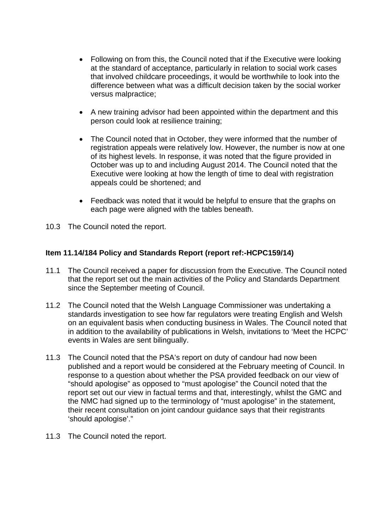- Following on from this, the Council noted that if the Executive were looking at the standard of acceptance, particularly in relation to social work cases that involved childcare proceedings, it would be worthwhile to look into the difference between what was a difficult decision taken by the social worker versus malpractice;
- A new training advisor had been appointed within the department and this person could look at resilience training;
- The Council noted that in October, they were informed that the number of registration appeals were relatively low. However, the number is now at one of its highest levels. In response, it was noted that the figure provided in October was up to and including August 2014. The Council noted that the Executive were looking at how the length of time to deal with registration appeals could be shortened; and
- Feedback was noted that it would be helpful to ensure that the graphs on each page were aligned with the tables beneath.
- 10.3 The Council noted the report.

# **Item 11.14/184 Policy and Standards Report (report ref:-HCPC159/14)**

- 11.1 The Council received a paper for discussion from the Executive. The Council noted that the report set out the main activities of the Policy and Standards Department since the September meeting of Council.
- 11.2 The Council noted that the Welsh Language Commissioner was undertaking a standards investigation to see how far regulators were treating English and Welsh on an equivalent basis when conducting business in Wales. The Council noted that in addition to the availability of publications in Welsh, invitations to 'Meet the HCPC' events in Wales are sent bilingually.
- 11.3 The Council noted that the PSA's report on duty of candour had now been published and a report would be considered at the February meeting of Council. In response to a question about whether the PSA provided feedback on our view of "should apologise" as opposed to "must apologise" the Council noted that the report set out our view in factual terms and that, interestingly, whilst the GMC and the NMC had signed up to the terminology of "must apologise" in the statement, their recent consultation on joint candour guidance says that their registrants 'should apologise'."
- 11.3 The Council noted the report.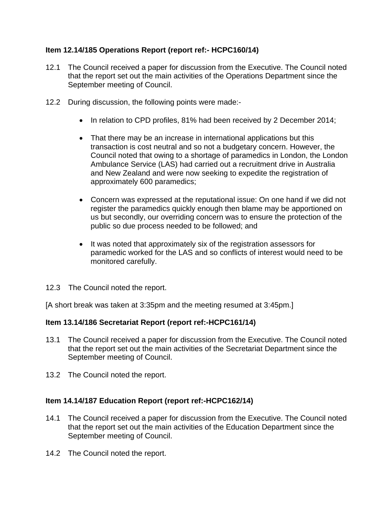# **Item 12.14/185 Operations Report (report ref:- HCPC160/14)**

- 12.1 The Council received a paper for discussion from the Executive. The Council noted that the report set out the main activities of the Operations Department since the September meeting of Council.
- 12.2 During discussion, the following points were made:-
	- In relation to CPD profiles, 81% had been received by 2 December 2014;
	- That there may be an increase in international applications but this transaction is cost neutral and so not a budgetary concern. However, the Council noted that owing to a shortage of paramedics in London, the London Ambulance Service (LAS) had carried out a recruitment drive in Australia and New Zealand and were now seeking to expedite the registration of approximately 600 paramedics;
	- Concern was expressed at the reputational issue: On one hand if we did not register the paramedics quickly enough then blame may be apportioned on us but secondly, our overriding concern was to ensure the protection of the public so due process needed to be followed; and
	- It was noted that approximately six of the registration assessors for paramedic worked for the LAS and so conflicts of interest would need to be monitored carefully.
- 12.3 The Council noted the report.

[A short break was taken at 3:35pm and the meeting resumed at 3:45pm.]

#### **Item 13.14/186 Secretariat Report (report ref:-HCPC161/14)**

- 13.1 The Council received a paper for discussion from the Executive. The Council noted that the report set out the main activities of the Secretariat Department since the September meeting of Council.
- 13.2 The Council noted the report.

# **Item 14.14/187 Education Report (report ref:-HCPC162/14)**

- 14.1 The Council received a paper for discussion from the Executive. The Council noted that the report set out the main activities of the Education Department since the September meeting of Council.
- 14.2 The Council noted the report.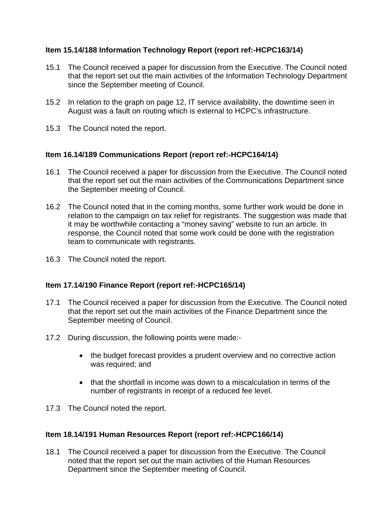# **Item 15.14/188 Information Technology Report (report ref:-HCPC163/14)**

- 15.1 The Council received a paper for discussion from the Executive. The Council noted that the report set out the main activities of the Information Technology Department since the September meeting of Council.
- 15.2 In relation to the graph on page 12, IT service availability, the downtime seen in August was a fault on routing which is external to HCPC's infrastructure.
- 15.3 The Council noted the report.

# **Item 16.14/189 Communications Report (report ref:-HCPC164/14)**

- 16.1 The Council received a paper for discussion from the Executive. The Council noted that the report set out the main activities of the Communications Department since the September meeting of Council.
- 16.2 The Council noted that in the coming months, some further work would be done in relation to the campaign on tax relief for registrants. The suggestion was made that it may be worthwhile contacting a "money saving" website to run an article. In response, the Council noted that some work could be done with the registration team to communicate with registrants.
- 16.3 The Council noted the report.

# **Item 17.14/190 Finance Report (report ref:-HCPC165/14)**

- 17.1 The Council received a paper for discussion from the Executive. The Council noted that the report set out the main activities of the Finance Department since the September meeting of Council.
- 17.2 During discussion, the following points were made:-
	- the budget forecast provides a prudent overview and no corrective action was required; and
	- that the shortfall in income was down to a miscalculation in terms of the number of registrants in receipt of a reduced fee level.
- 17.3 The Council noted the report.

# **Item 18.14/191 Human Resources Report (report ref:-HCPC166/14)**

18.1 The Council received a paper for discussion from the Executive. The Council noted that the report set out the main activities of the Human Resources Department since the September meeting of Council.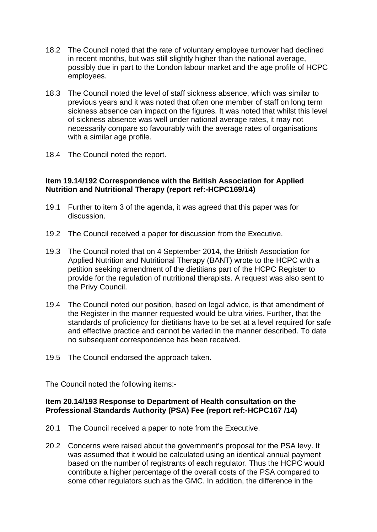- 18.2 The Council noted that the rate of voluntary employee turnover had declined in recent months, but was still slightly higher than the national average, possibly due in part to the London labour market and the age profile of HCPC employees.
- 18.3 The Council noted the level of staff sickness absence, which was similar to previous years and it was noted that often one member of staff on long term sickness absence can impact on the figures. It was noted that whilst this level of sickness absence was well under national average rates, it may not necessarily compare so favourably with the average rates of organisations with a similar age profile.
- 18.4 The Council noted the report.

## **Item 19.14/192 Correspondence with the British Association for Applied Nutrition and Nutritional Therapy (report ref:-HCPC169/14)**

- 19.1 Further to item 3 of the agenda, it was agreed that this paper was for discussion.
- 19.2 The Council received a paper for discussion from the Executive.
- 19.3 The Council noted that on 4 September 2014, the British Association for Applied Nutrition and Nutritional Therapy (BANT) wrote to the HCPC with a petition seeking amendment of the dietitians part of the HCPC Register to provide for the regulation of nutritional therapists. A request was also sent to the Privy Council.
- 19.4 The Council noted our position, based on legal advice, is that amendment of the Register in the manner requested would be ultra viries. Further, that the standards of proficiency for dietitians have to be set at a level required for safe and effective practice and cannot be varied in the manner described. To date no subsequent correspondence has been received.
- 19.5 The Council endorsed the approach taken.

The Council noted the following items:-

#### **Item 20.14/193 Response to Department of Health consultation on the Professional Standards Authority (PSA) Fee (report ref:-HCPC167 /14)**

- 20.1 The Council received a paper to note from the Executive.
- 20.2 Concerns were raised about the government's proposal for the PSA levy. It was assumed that it would be calculated using an identical annual payment based on the number of registrants of each regulator. Thus the HCPC would contribute a higher percentage of the overall costs of the PSA compared to some other regulators such as the GMC. In addition, the difference in the